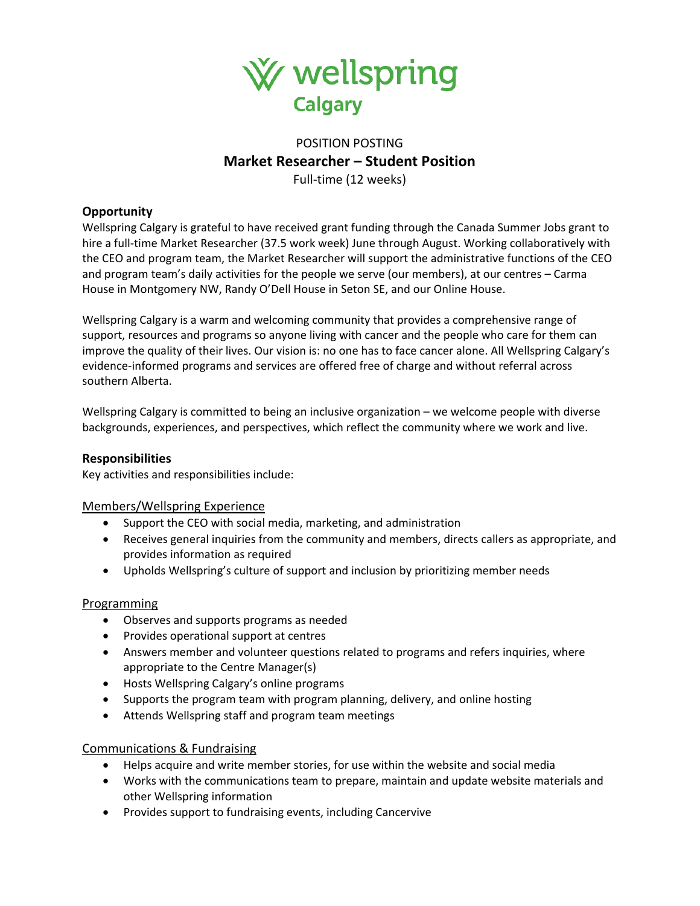

# POSITION POSTING **Market Researcher – Student Position**

Full-time (12 weeks)

# **Opportunity**

Wellspring Calgary is grateful to have received grant funding through the Canada Summer Jobs grant to hire a full-time Market Researcher (37.5 work week) June through August. Working collaboratively with the CEO and program team, the Market Researcher will support the administrative functions of the CEO and program team's daily activities for the people we serve (our members), at our centres – Carma House in Montgomery NW, Randy O'Dell House in Seton SE, and our Online House.

Wellspring Calgary is a warm and welcoming community that provides a comprehensive range of support, resources and programs so anyone living with cancer and the people who care for them can improve the quality of their lives. Our vision is: no one has to face cancer alone. All Wellspring Calgary's evidence-informed programs and services are offered free of charge and without referral across southern Alberta.

Wellspring Calgary is committed to being an inclusive organization – we welcome people with diverse backgrounds, experiences, and perspectives, which reflect the community where we work and live.

# **Responsibilities**

Key activities and responsibilities include:

# Members/Wellspring Experience

- Support the CEO with social media, marketing, and administration
- Receives general inquiries from the community and members, directs callers as appropriate, and provides information as required
- Upholds Wellspring's culture of support and inclusion by prioritizing member needs

# Programming

- Observes and supports programs as needed
- Provides operational support at centres
- Answers member and volunteer questions related to programs and refers inquiries, where appropriate to the Centre Manager(s)
- Hosts Wellspring Calgary's online programs
- Supports the program team with program planning, delivery, and online hosting
- Attends Wellspring staff and program team meetings

# Communications & Fundraising

- Helps acquire and write member stories, for use within the website and social media
- Works with the communications team to prepare, maintain and update website materials and other Wellspring information
- Provides support to fundraising events, including Cancervive